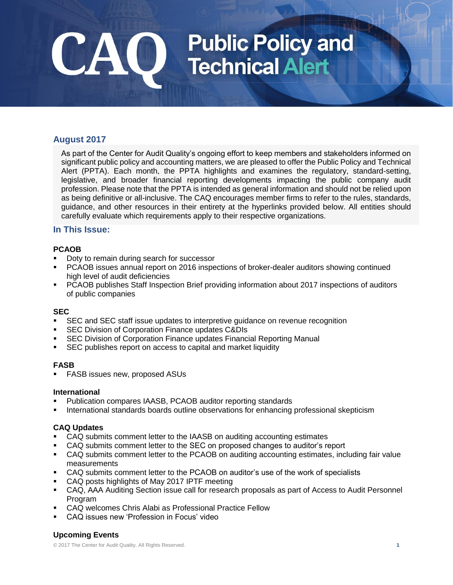# **CAO** Public Policy and

### **August 2017**

As part of the Center for Audit Quality's ongoing effort to keep members and stakeholders informed on significant public policy and accounting matters, we are pleased to offer the Public Policy and Technical Alert (PPTA). Each month, the PPTA highlights and examines the regulatory, standard-setting, legislative, and broader financial reporting developments impacting the public company audit profession. Please note that the PPTA is intended as general information and should not be relied upon as being definitive or all-inclusive. The CAQ encourages member firms to refer to the rules, standards, guidance, and other resources in their entirety at the hyperlinks provided below. All entities should carefully evaluate which requirements apply to their respective organizations.

#### **In This Issue:**

#### **PCAOB**

- Doty to remain during search for successor
- PCAOB issues annual report on 2016 inspections of broker-dealer auditors showing continued high level of audit deficiencies
- PCAOB publishes Staff Inspection Brief providing information about 2017 inspections of auditors of public companies

#### **SEC**

- SEC and SEC staff issue updates to interpretive guidance on revenue recognition
- **SEC Division of Corporation Finance updates C&DIs**
- SEC Division of Corporation Finance updates Financial Reporting Manual
- SEC publishes report on access to capital and market liquidity

#### **FASB**

FASB issues new, proposed ASUs

#### **International**

- Publication compares IAASB, PCAOB auditor reporting standards
- International standards boards outline observations for enhancing professional skepticism

#### **CAQ Updates**

- CAQ submits comment letter to the IAASB on auditing accounting estimates
- CAQ submits comment letter to the SEC on proposed changes to auditor's report
- CAQ submits comment letter to the PCAOB on auditing accounting estimates, including fair value measurements
- CAQ submits comment letter to the PCAOB on auditor's use of the work of specialists
- CAQ posts highlights of May 2017 IPTF meeting
- CAQ, AAA Auditing Section issue call for research proposals as part of Access to Audit Personnel Program
- CAQ welcomes Chris Alabi as Professional Practice Fellow
- CAQ issues new 'Profession in Focus' video

#### **Upcoming Events**

© 2017 The Center for Audit Quality. All Rights Reserved. **1**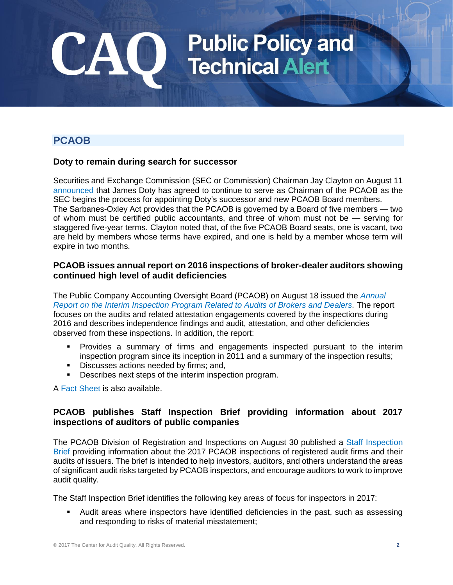# **PCAOB**

CA

### **Doty to remain during search for successor**

Securities and Exchange Commission (SEC or Commission) Chairman Jay Clayton on August 11 [announced](https://www.sec.gov/news/public-statement/clayton-statement-pcaob-2017-08-11) that James Doty has agreed to continue to serve as Chairman of the PCAOB as the SEC begins the process for appointing Doty's successor and new PCAOB Board members. The Sarbanes-Oxley Act provides that the PCAOB is governed by a Board of five members — two of whom must be certified public accountants, and three of whom must not be — serving for staggered five-year terms. Clayton noted that, of the five PCAOB Board seats, one is vacant, two are held by members whose terms have expired, and one is held by a member whose term will expire in two months.

### **PCAOB issues annual report on 2016 inspections of broker-dealer auditors showing continued high level of audit deficiencies**

The Public Company Accounting Oversight Board (PCAOB) on August 18 issued the *[Annual](https://pcaobus.org/Inspections/Documents/BDA-Interim-Inspection-Program-2017.pdf)  [Report on the Interim Inspection Program Related to Audits of Brokers and Dealers.](https://pcaobus.org/Inspections/Documents/BDA-Interim-Inspection-Program-2017.pdf)* The report focuses on the audits and related attestation engagements covered by the inspections during 2016 and describes independence findings and audit, attestation, and other deficiencies observed from these inspections. In addition, the report:

- Provides a summary of firms and engagements inspected pursuant to the interim inspection program since its inception in 2011 and a summary of the inspection results;
- **•** Discusses actions needed by firms; and,
- Describes next steps of the interim inspection program.

A [Fact Sheet](https://pcaobus.org/News/Releases/Pages/fact-sheet-broker-dealer-annual-report-081817.aspx) is also available.

### **PCAOB publishes Staff Inspection Brief providing information about 2017 inspections of auditors of public companies**

The PCAOB Division of Registration and Inspections on August 30 published a [Staff Inspection](https://pcaobus.org/Inspections/Documents/inspection-brief-2017-3-issuer-scope.pdf)  [Brief](https://pcaobus.org/Inspections/Documents/inspection-brief-2017-3-issuer-scope.pdf) providing information about the 2017 PCAOB inspections of registered audit firms and their audits of issuers. The brief is intended to help investors, auditors, and others understand the areas of significant audit risks targeted by PCAOB inspectors, and encourage auditors to work to improve audit quality.

The Staff Inspection Brief identifies the following key areas of focus for inspectors in 2017:

■ Audit areas where inspectors have identified deficiencies in the past, such as assessing and responding to risks of material misstatement;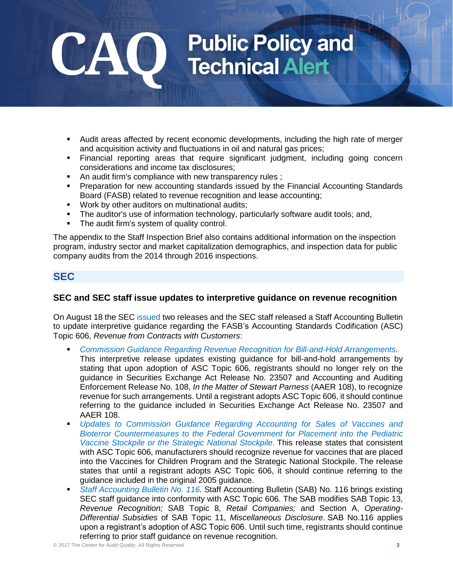- Audit areas affected by recent economic developments, including the high rate of merger and acquisition activity and fluctuations in oil and natural gas prices;
- Financial reporting areas that require significant judgment, including going concern considerations and income tax disclosures;
- An audit firm's compliance with new transparency rules ;
- **Preparation for new accounting standards issued by the Financial Accounting Standards** Board (FASB) related to revenue recognition and lease accounting;
- Work by other auditors on multinational audits;
- The auditor's use of information technology, particularly software audit tools; and,
- **•** The audit firm's system of quality control.

The appendix to the Staff Inspection Brief also contains additional information on the inspection program, industry sector and market capitalization demographics, and inspection data for public company audits from the 2014 through 2016 inspections.

# **SEC**

CA

### **SEC and SEC staff issue updates to interpretive guidance on revenue recognition**

On August 18 the SEC [issued](https://www.sec.gov/news/press-release/2017-145) two releases and the SEC staff released a Staff Accounting Bulletin to update interpretive guidance regarding the FASB's Accounting Standards Codification (ASC) Topic 606, *Revenue from Contracts with Customers*:

- *[Commission Guidance Regarding Revenue Recognition for Bill-and-Hold Arrangements](https://www.sec.gov/rules/interp/2017/33-10402.pdf)*. This interpretive release updates existing guidance for bill-and-hold arrangements by stating that upon adoption of ASC Topic 606, registrants should no longer rely on the guidance in Securities Exchange Act Release No. 23507 and Accounting and Auditing Enforcement Release No. 108, *In the Matter of Stewart Parness* (AAER 108), to recognize revenue for such arrangements. Until a registrant adopts ASC Topic 606, it should continue referring to the guidance included in Securities Exchange Act Release No. 23507 and AAER 108.
- *[Updates to Commission Guidance Regarding Accounting for Sales of Vaccines and](https://www.sec.gov/rules/interp/2017/33-10403.pdf)  [Bioterror Countermeasures to the Federal Government for Placement into the Pediatric](https://www.sec.gov/rules/interp/2017/33-10403.pdf)  [Vaccine Stockpile or the Strategic National Stockpile.](https://www.sec.gov/rules/interp/2017/33-10403.pdf)* This release states that consistent with ASC Topic 606, manufacturers should recognize revenue for vaccines that are placed into the Vaccines for Children Program and the Strategic National Stockpile. The release states that until a registrant adopts ASC Topic 606, it should continue referring to the guidance included in the original 2005 guidance.
- *[Staff Accounting Bulletin No.](https://www.sec.gov/interps/account/sab116.pdf) 116*. Staff Accounting Bulletin (SAB) No. 116 brings existing SEC staff guidance into conformity with ASC Topic 606. The SAB modifies SAB Topic 13, *Revenue Recognition;* SAB Topic 8, *Retail Companies;* and Section A, *Operating-Differential Subsidies* of SAB Topic 11, *Miscellaneous Disclosure*. SAB No.116 applies upon a registrant's adoption of ASC Topic 606. Until such time, registrants should continue referring to prior staff guidance on revenue recognition.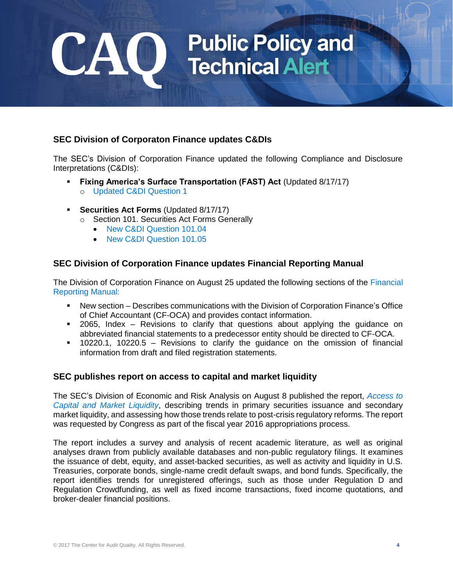# **SEC Division of Corporaton Finance updates C&DIs**

The SEC's Division of Corporation Finance updated the following Compliance and Disclosure Interpretations (C&DIs):

- **Fixing America's Surface Transportation (FAST) Act** (Updated 8/17/17)
	- o [Updated C&DI Question 1](https://www.sec.gov/divisions/corpfin/guidance/fast-act-interps.htm)
- **Securities Act Forms** (Updated 8/17/17)
	- o Section 101. Securities Act Forms Generally
		- [New C&DI Question 101.04](https://www.sec.gov/divisions/corpfin/guidance/safinterp.htm#101.04)
		- [New C&DI Question 101.05](https://www.sec.gov/divisions/corpfin/guidance/safinterp.htm#101.05)

## **SEC Division of Corporation Finance updates Financial Reporting Manual**

The Division of Corporation Finance on August 25 updated the following sections of the [Financial](https://www.sec.gov/divisions/corpfin/cffinancialreportingmanual.shtml)  [Reporting Manual:](https://www.sec.gov/divisions/corpfin/cffinancialreportingmanual.shtml)

- New section Describes communications with the Division of Corporation Finance's Office of Chief Accountant (CF-OCA) and provides contact information.
- 2065, Index Revisions to clarify that questions about applying the guidance on abbreviated financial statements to a predecessor entity should be directed to CF-OCA.
- 10220.1, 10220.5 Revisions to clarify the guidance on the omission of financial information from draft and filed registration statements.

### **SEC publishes report on access to capital and market liquidity**

The SEC's Division of Economic and Risk Analysis on August 8 published the report, *[Access to](https://www.sec.gov/files/access-to-capital-and-market-liquidity-study-dera-2017.pdf)  [Capital and Market Liquidity](https://www.sec.gov/files/access-to-capital-and-market-liquidity-study-dera-2017.pdf)*, describing trends in primary securities issuance and secondary market liquidity, and assessing how those trends relate to post-crisis regulatory reforms. The report was requested by Congress as part of the fiscal year 2016 appropriations process.

The report includes a survey and analysis of recent academic literature, as well as original analyses drawn from publicly available databases and non-public regulatory filings. It examines the issuance of debt, equity, and asset-backed securities, as well as activity and liquidity in U.S. Treasuries, corporate bonds, single-name credit default swaps, and bond funds. Specifically, the report identifies trends for unregistered offerings, such as those under Regulation D and Regulation Crowdfunding, as well as fixed income transactions, fixed income quotations, and broker-dealer financial positions.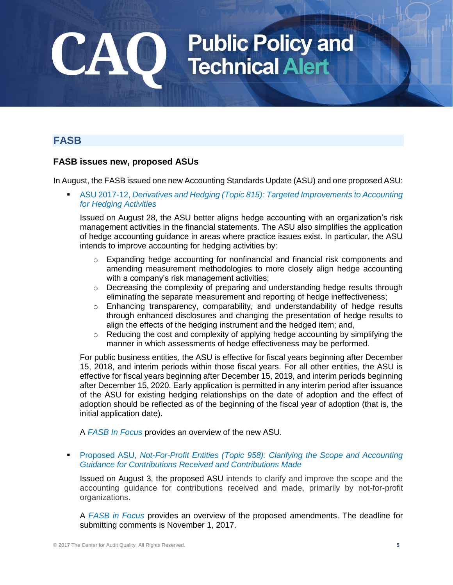# **FASB**

# **FASB issues new, proposed ASUs**

In August, the FASB issued one new Accounting Standards Update (ASU) and one proposed ASU:

**EXECU 2017-12, Derivatives and Hedging (Topic 815): Targeted Improvements to Accounting** *[for Hedging Activities](http://fasb.org/jsp/FASB/Document_C/DocumentPage?cid=1176169282347&acceptedDisclaimer=true)*

Issued on August 28, the ASU better aligns hedge accounting with an organization's risk management activities in the financial statements. The ASU also simplifies the application of hedge accounting guidance in areas where practice issues exist. In particular, the ASU intends to improve accounting for hedging activities by:

- $\circ$  Expanding hedge accounting for nonfinancial and financial risk components and amending measurement methodologies to more closely align hedge accounting with a company's risk management activities;
- $\circ$  Decreasing the complexity of preparing and understanding hedge results through eliminating the separate measurement and reporting of hedge ineffectiveness;
- $\circ$  Enhancing transparency, comparability, and understandability of hedge results through enhanced disclosures and changing the presentation of hedge results to align the effects of the hedging instrument and the hedged item; and,
- $\circ$  Reducing the cost and complexity of applying hedge accounting by simplifying the manner in which assessments of hedge effectiveness may be performed.

For public business entities, the ASU is effective for fiscal years beginning after December 15, 2018, and interim periods within those fiscal years. For all other entities, the ASU is effective for fiscal years beginning after December 15, 2019, and interim periods beginning after December 15, 2020. Early application is permitted in any interim period after issuance of the ASU for existing hedging relationships on the date of adoption and the effect of adoption should be reflected as of the beginning of the fiscal year of adoption (that is, the initial application date).

A *[FASB In Focus](http://fasb.org/cs/ContentServer?c=FASBContent_C&pagename=FASB%2FFASBContent_C%2FGeneralContentDisplay&cid=1176169280252)* provides an overview of the new ASU.

▪ Proposed ASU, *[Not-For-Profit Entities \(Topic 958\): Clarifying the Scope and Accounting](http://fasb.org/jsp/FASB/Document_C/DocumentPage?cid=1176169227919&acceptedDisclaimer=true)  [Guidance for Contributions Received and Contributions Made](http://fasb.org/jsp/FASB/Document_C/DocumentPage?cid=1176169227919&acceptedDisclaimer=true)*

Issued on August 3, the proposed ASU intends to clarify and improve the scope and the accounting guidance for contributions received and made, primarily by not-for-profit organizations.

A *[FASB in Focus](http://fasb.org/cs/ContentServer?c=FASBContent_C&pagename=FASB%2FFASBContent_C%2FGeneralContentDisplay&cid=1176169224088)* provides an overview of the proposed amendments. The deadline for submitting comments is November 1, 2017.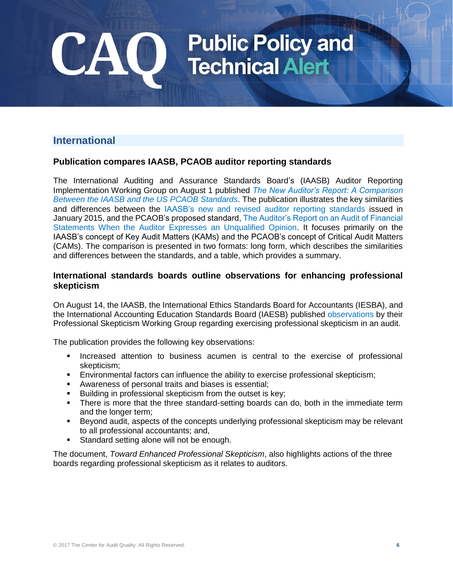# **International**

CA

### **Publication compares IAASB, PCAOB auditor reporting standards**

The International Auditing and Assurance Standards Board's (IAASB) Auditor Reporting Implementation Working Group on August 1 published *[The New Auditor's Report: A Comparison](http://www.ifac.org/publications-resources/new-auditor-s-report-comparison-between-iaasb-and-us-pcaob-standards)  [Between the IAASB and the US PCAOB Standards](http://www.ifac.org/publications-resources/new-auditor-s-report-comparison-between-iaasb-and-us-pcaob-standards)*. The publication illustrates the key similarities and differences between the [IAASB's new and revised auditor reporting standards](http://www.iaasb.org/new-auditors-report) issued in January 2015, and the PCAOB's proposed standard[, The Auditor's Report on an Audit of Financial](https://pcaobus.org/Rulemaking/Docket034/2017-001-auditors-report-final-rule.pdf)  [Statements When the Auditor Expresses an Unqualified Opinion.](https://pcaobus.org/Rulemaking/Docket034/2017-001-auditors-report-final-rule.pdf) It focuses primarily on the IAASB's concept of Key Audit Matters (KAMs) and the PCAOB's concept of Critical Audit Matters (CAMs). The comparison is presented in two formats: long form, which describes the similarities and differences between the standards, and a table, which provides a summary.

### **International standards boards outline observations for enhancing professional skepticism**

On August 14, the IAASB, the International Ethics Standards Board for Accountants (IESBA), and the International Accounting Education Standards Board (IAESB) published [observations](http://www.ifac.org/publications-resources/toward-enhanced-professional-skepticism) by their Professional Skepticism Working Group regarding exercising professional skepticism in an audit.

The publication provides the following key observations:

- Increased attention to business acumen is central to the exercise of professional skepticism;
- **Environmental factors can influence the ability to exercise professional skepticism;**
- Awareness of personal traits and biases is essential;
- Building in professional skepticism from the outset is key;
- **•** There is more that the three standard-setting boards can do, both in the immediate term and the longer term;
- Beyond audit, aspects of the concepts underlying professional skepticism may be relevant to all professional accountants; and,
- **EXECT** Standard setting alone will not be enough.

The document, *Toward Enhanced Professional Skepticism*, also highlights actions of the three boards regarding professional skepticism as it relates to auditors.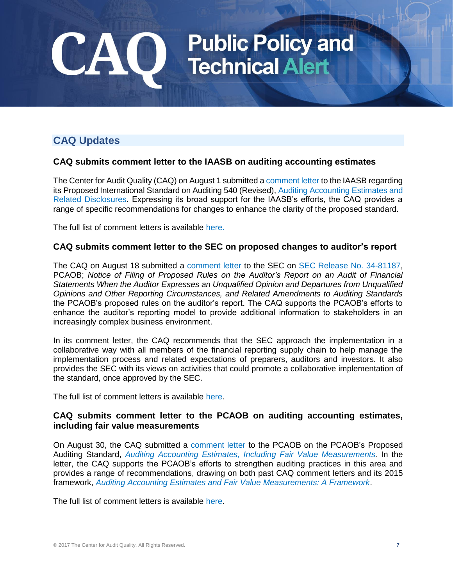# **CAQ Updates**

CA

## **CAQ submits comment letter to the IAASB on auditing accounting estimates**

The Center for Audit Quality (CAQ) on August 1 submitted [a comment letter](http://www.thecaq.org/iaasb-proposed-isa-540-auditing-accounting-estimates-and-related-disclosures) to the IAASB regarding its Proposed International Standard on Auditing 540 (Revised), [Auditing Accounting Estimates and](https://www.ifac.org/publications-resources/proposed-international-standard-auditing-540-revised-auditing-accounting)  [Related Disclosures.](https://www.ifac.org/publications-resources/proposed-international-standard-auditing-540-revised-auditing-accounting) Expressing its broad support for the IAASB's efforts, the CAQ provides a range of specific recommendations for changes to enhance the clarity of the proposed standard.

The full list of comment letters is available here.

### **CAQ submits comment letter to the SEC on proposed changes to auditor's report**

The CAQ on August 18 submitted a [comment letter](http://www.thecaq.org/sec-proposed-pcaob-rules-auditors-report) to the SEC on [SEC Release No. 34-81187,](https://www.sec.gov/rules/pcaob/2017/34-81187.pdf) PCAOB; *Notice of Filing of Proposed Rules on the Auditor's Report on an Audit of Financial Statements When the Auditor Expresses an Unqualified Opinion and Departures from Unqualified Opinions and Other Reporting Circumstances, and Related Amendments to Auditing Standards* the PCAOB's proposed rules on the auditor's report. The CAQ supports the PCAOB's efforts to enhance the auditor's reporting model to provide additional information to stakeholders in an increasingly complex business environment.

In its comment letter, the CAQ recommends that the SEC approach the implementation in a collaborative way with all members of the financial reporting supply chain to help manage the implementation process and related expectations of preparers, auditors and investors. It also provides the SEC with its views on activities that could promote a collaborative implementation of the standard, once approved by the SEC.

The full list of comment letters is available [here.](https://www.sec.gov/comments/pcaob-2017-01/pcaob201701.htm)

### **CAQ submits comment letter to the PCAOB on auditing accounting estimates, including fair value measurements**

On August 30, the CAQ submitted a [comment letter](http://www.thecaq.org/pcaob-proposed-auditing-standard-auditing-accounting-estimates-including-fair-value-measurements) to the PCAOB on the PCAOB's Proposed Auditing Standard, *[Auditing Accounting Estimates, Including Fair Value Measurements.](https://pcaobus.org/Rulemaking/Docket043/2017-002-auditing-accounting-estimates-proposed-rule.pdf)* In the letter, the CAQ supports the PCAOB's efforts to strengthen auditing practices in this area and provides a range of recommendations, drawing on both past CAQ comment letters and its 2015 framework, *[Auditing Accounting Estimates and Fair Value Measurements: A Framework](http://www.thecaq.org/auditing-accounting-estimates-and-fair-value-measurements-framework)*.

The full list of comment letters is available [here.](https://pcaobus.org/Rulemaking/Pages/docket-043-comments-auditing-accounting-estimates-fair-value-measurements.aspx)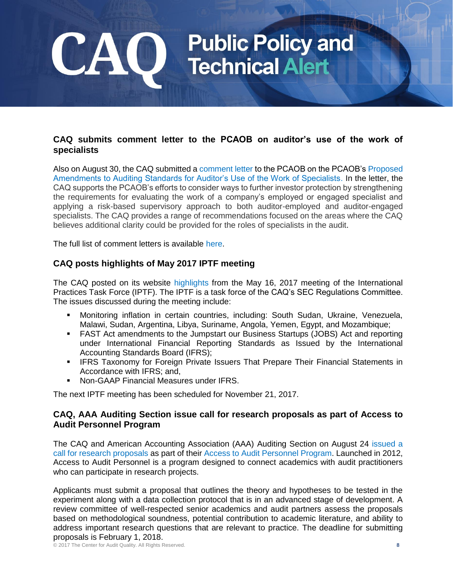## **CAQ submits comment letter to the PCAOB on auditor's use of the work of specialists**

Also on August 30, the CAQ submitted a [comment letter](http://www.thecaq.org/pcaob-proposed-amendments-auditing-standards-auditors-use-work-specialists) to the PCAOB on the PCAOB's [Proposed](https://pcaobus.org/Rulemaking/Docket044/2017-003-specialists-proposed-rule.pdf) [Amendments to Auditing Standards for Auditor's Use of the Work of Specialists.](https://pcaobus.org/Rulemaking/Docket044/2017-003-specialists-proposed-rule.pdf) In the letter, the CAQ supports the PCAOB's efforts to consider ways to further investor protection by strengthening the requirements for evaluating the work of a company's employed or engaged specialist and applying a risk-based supervisory approach to both auditor-employed and auditor-engaged specialists. The CAQ provides a range of recommendations focused on the areas where the CAQ believes additional clarity could be provided for the roles of specialists in the audit.

The full list of comment letters is available [here.](https://pcaobus.org/Rulemaking/Pages/docket-044-comments-auditors-use-work-specialists.aspx)

# **CAQ posts highlights of May 2017 IPTF meeting**

The CAQ posted on its website [highlights](http://www.thecaq.org/may-2017-iptf-joint-meeting-highlights) from the May 16, 2017 meeting of the International Practices Task Force (IPTF). The IPTF is a task force of the CAQ's SEC Regulations Committee. The issues discussed during the meeting include:

- Monitoring inflation in certain countries, including: South Sudan, Ukraine, Venezuela, Malawi, Sudan, Argentina, Libya, Suriname, Angola, Yemen, Egypt, and Mozambique;
- **FAST Act amendments to the Jumpstart our Business Startups (JOBS) Act and reporting** under International Financial Reporting Standards as Issued by the International Accounting Standards Board (IFRS);
- **·** IFRS Taxonomy for Foreign Private Issuers That Prepare Their Financial Statements in Accordance with IFRS; and,
- Non-GAAP Financial Measures under IFRS.

The next IPTF meeting has been scheduled for November 21, 2017.

### **CAQ, AAA Auditing Section issue call for research proposals as part of Access to Audit Personnel Program**

The CAQ and American Accounting Association (AAA) Auditing Section on August 24 [issued a](http://www.thecaq.org/caq-and-aaa-auditing-section-offer-researchers-sixth-annual-access-audit-personnel-program)  [call for research proposals](http://www.thecaq.org/caq-and-aaa-auditing-section-offer-researchers-sixth-annual-access-audit-personnel-program) as part of thei[r Access to Audit Personnel Program.](http://link.email.dynect.net/link.php?DynEngagement=true&H=WAA0HYy4enWklLGLVOCoftvRiKxkwcx7028A%2BNZlWSzSEaUD3cyAX3ChPLvfM5Dp9ImwPhfu9tesSVYXZOnLcggsJ1cdTXX7FyM0Io4W5uznBT4koH6C2A%3D%3D&G=0&R=http%3A%2F%2Fwww.thecaq.org%2Fresearch%2Faccess-audit-personnel-program&I=20170824130918.00000065bc5c%40mail6-33-usnbn1&X=MHwxMDQ2NzU4OjU5OWVjZmZiNWZlYzE0OTRmNzg0MjBmYTs%3D&S=IQSzux-M-q5kf6Qd4fpLbnQVjJk_l_3KQ13ZKaQJf-g) Launched in 2012, Access to Audit Personnel is a program designed to connect academics with audit practitioners who can participate in research projects.

Applicants must submit a proposal that outlines the theory and hypotheses to be tested in the experiment along with a data collection protocol that is in an advanced stage of development. A review committee of well-respected senior academics and audit partners assess the proposals based on methodological soundness, potential contribution to academic literature, and ability to address important research questions that are relevant to practice. The deadline for submitting proposals is February 1, 2018.

© 2017 The Center for Audit Quality. All Rights Reserved. **8**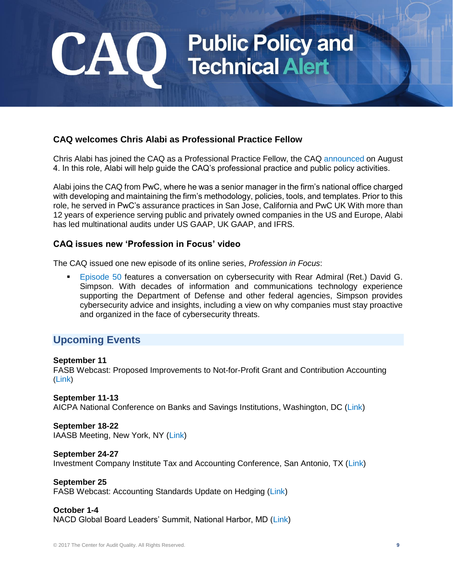# **CAO** Public Policy and

# **CAQ welcomes Chris Alabi as Professional Practice Fellow**

Chris Alabi has joined the CAQ as a Professional Practice Fellow, the CAQ [announced](http://thecaq.org/caq-welcomes-chris-alabi-professional-practice-fellow) on August 4. In this role, Alabi will help guide the CAQ's professional practice and public policy activities.

Alabi joins the CAQ from PwC, where he was a senior manager in the firm's national office charged with developing and maintaining the firm's methodology, policies, tools, and templates. Prior to this role, he served in PwC's assurance practices in San Jose, California and PwC UK With more than 12 years of experience serving public and privately owned companies in the US and Europe, Alabi has led multinational audits under US GAAP, UK GAAP, and IFRS.

### **CAQ issues new 'Profession in Focus' video**

The CAQ issued one new episode of its online series, *Profession in Focus*:

[Episode 50](https://www.youtube.com/watch?v=cr7G8SZCEz8&feature=youtu.be) features a conversation on cybersecurity with Rear Admiral (Ret.) David G. Simpson. With decades of information and communications technology experience supporting the Department of Defense and other federal agencies, Simpson provides cybersecurity advice and insights, including a view on why companies must stay proactive and organized in the face of cybersecurity threats.

# **Upcoming Events**

#### **September 11**

FASB Webcast: Proposed Improvements to Not-for-Profit Grant and Contribution Accounting ([Link](https://event.webcasts.com/starthere.jsp?ei=1159063&tp_key=a0f9363972))

**September 11-13** AICPA National Conference on Banks and Savings Institutions, Washington, DC [\(Link\)](http://www.aicpastore.com/Accounting/IndustryspecificGuidance/DepositLending/aicpa-national-conference-on-banks---savings-insti/PRDOVR~PC-BANK/PC-BANK.jsp?cm_vc=HOMECONF)

**September 18-22** IAASB Meeting, New York, NY [\(Link\)](http://www.iaasb.org/meetings/new-york-usa-16)

**September 24-27** Investment Company Institute Tax and Accounting Conference, San Antonio, TX [\(Link\)](https://www.ici.org/events)

**September 25** FASB Webcast: Accounting Standards Update on Hedging [\(Link\)](http://fasb.org/cs/ContentServer?c=Page&pagename=FASB%2FPage%2FSectionPage&cid=1176169280923)

**October 1-4** NACD Global Board Leaders' Summit, National Harbor, MD [\(Link\)](https://www.nacdonline.org/summit/#/agenda/41088)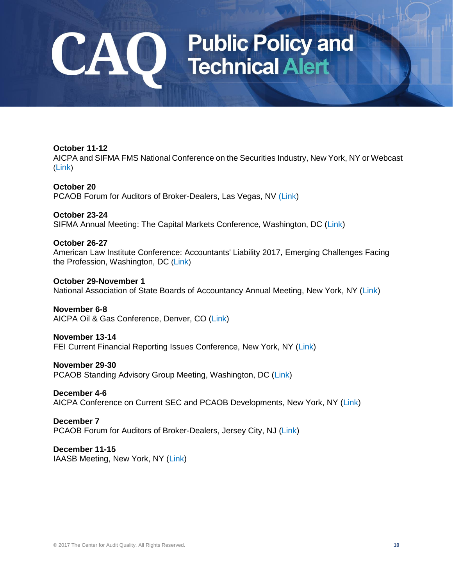# **CAO** Public Policy and

**October 11-12** AICPA and SIFMA FMS National Conference on the Securities Industry, New York, NY or Webcast ([Link](https://www.sifma.org/event/aicpa-fms/))

**October 20** PCAOB Forum for Auditors of Broker-Dealers, Las Vegas, NV [\(Link\)](https://pcaobus.org/News/Events/Pages/10202017-Las-Vegas-Broker-Dealer-Auditor-Forum.aspx)

**October 23-24** SIFMA Annual Meeting: The Capital Markets Conference, Washington, DC [\(Link\)](http://sifmaannualmeeting.org/)

### **October 26-27**

American Law Institute Conference: Accountants' Liability 2017, Emerging Challenges Facing the Profession, Washington, DC ([Link](https://www.ali-cle.org/index.cfm?fuseaction=courses.course&course_code=CZ008&utm_source=PR_Newswire&utm_medium=pdf&utm_campaign=cz008_press_release))

**October 29-November 1** National Association of State Boards of Accountancy Annual Meeting, New York, NY [\(Link\)](https://www.nasba.org/blog/2011/01/25/annualmeeting2017/)

**November 6-8** AICPA Oil & Gas Conference, Denver, CO [\(Link\)](http://www.aicpastore.com/ManagementAccounting/aicpa-oil---gas-conference/PRDOVR~PC-OIL/PC-OIL.jsp)

**November 13-14** FEI Current Financial Reporting Issues Conference, New York, NY [\(Link\)](https://www.financialexecutives.org/Events/Conferences/Current-Financial-Reporting-Issues-Conference-Nove.aspx)

**November 29-30** PCAOB Standing Advisory Group Meeting, Washington, DC [\(Link\)](https://pcaobus.org/News/Events/Pages/SAG-meeting-Nov-2017.aspx)

**December 4-6** AICPA Conference on Current SEC and PCAOB Developments, New York, NY [\(Link\)](http://www.aicpastore.com/InternationalAccounting/aicpa-conference-on-current-sec-and-pcaob-developm/PRDOVR~PC-SECNY/PC-SECNY.jsp)

**December 7** PCAOB Forum for Auditors of Broker-Dealers, Jersey City, NJ [\(Link\)](https://pcaobus.org/News/Events/Pages/120720174-Broker-Dealer-Auditor-Forum-Jersey-City.aspx)

**December 11-15** IAASB Meeting, New York, NY [\(Link\)](http://www.iaasb.org/meetings/new-york-usa-17)